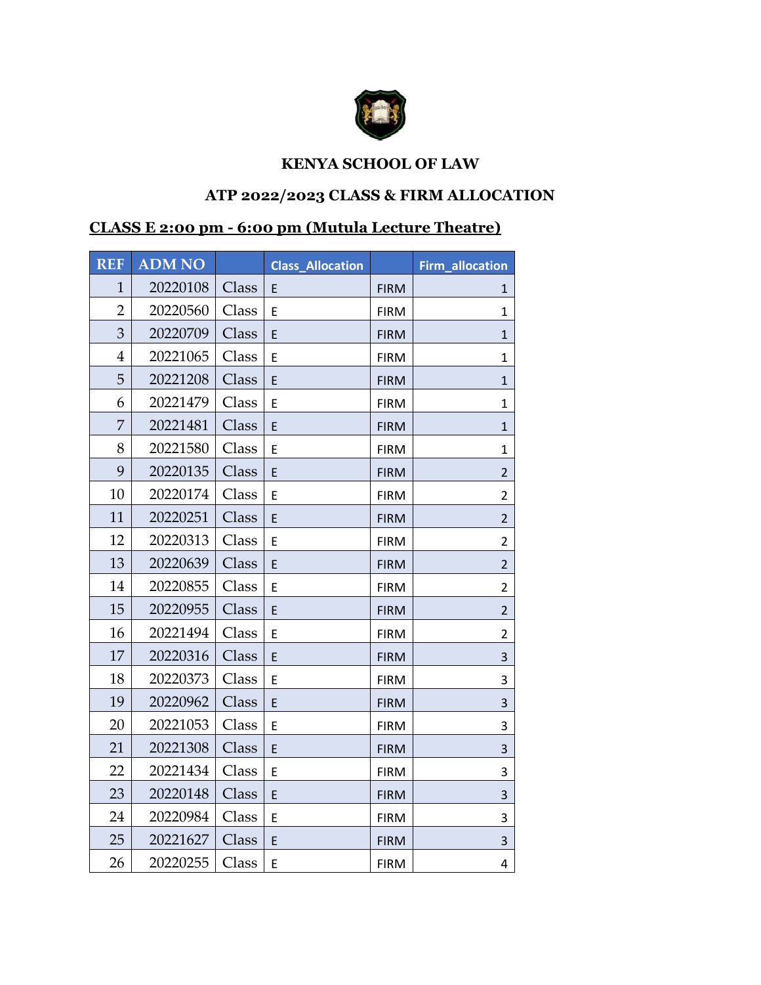

## **KENYA SCHOOL OF LAW**

## **ATP 2022/2023 CLASS & FIRM ALLOCATION**

## **CLASS E 2:00 pm - 6:00 pm (Mutula Lecture Theatre)**

| <b>REF</b>     | <b>ADM NO</b> |       | <b>Class_Allocation</b> |             | Firm_allocation |
|----------------|---------------|-------|-------------------------|-------------|-----------------|
| $\mathbf{1}$   | 20220108      | Class | E                       | <b>FIRM</b> | 1               |
| $\overline{2}$ | 20220560      | Class | E                       | <b>FIRM</b> | 1               |
| 3              | 20220709      | Class | E                       | <b>FIRM</b> | $\mathbf{1}$    |
| $\overline{4}$ | 20221065      | Class | E                       | <b>FIRM</b> | $\mathbf{1}$    |
| 5              | 20221208      | Class | E                       | <b>FIRM</b> | 1               |
| 6              | 20221479      | Class | E                       | <b>FIRM</b> | 1               |
| 7              | 20221481      | Class | E                       | <b>FIRM</b> | $\mathbf{1}$    |
| 8              | 20221580      | Class | E                       | <b>FIRM</b> | $\mathbf{1}$    |
| 9              | 20220135      | Class | E                       | <b>FIRM</b> | $\overline{2}$  |
| 10             | 20220174      | Class | E                       | <b>FIRM</b> | $\overline{2}$  |
| 11             | 20220251      | Class | E                       | <b>FIRM</b> | $\overline{2}$  |
| 12             | 20220313      | Class | E                       | <b>FIRM</b> | $\overline{2}$  |
| 13             | 20220639      | Class | E                       | <b>FIRM</b> | $\overline{2}$  |
| 14             | 20220855      | Class | E                       | <b>FIRM</b> | $\overline{2}$  |
| 15             | 20220955      | Class | E                       | <b>FIRM</b> | $\overline{2}$  |
| 16             | 20221494      | Class | E                       | <b>FIRM</b> | $\overline{2}$  |
| 17             | 20220316      | Class | E                       | <b>FIRM</b> | 3               |
| 18             | 20220373      | Class | E                       | <b>FIRM</b> | 3               |
| 19             | 20220962      | Class | E                       | <b>FIRM</b> | 3               |
| 20             | 20221053      | Class | E                       | <b>FIRM</b> | 3               |
| 21             | 20221308      | Class | E                       | <b>FIRM</b> | 3               |
| 22             | 20221434      | Class | E                       | <b>FIRM</b> | 3               |
| 23             | 20220148      | Class | E                       | <b>FIRM</b> | 3               |
| 24             | 20220984      | Class | E                       | <b>FIRM</b> | 3               |
| 25             | 20221627      | Class | E                       | <b>FIRM</b> | $\mathsf{3}$    |
| 26             | 20220255      | Class | E                       | <b>FIRM</b> | 4               |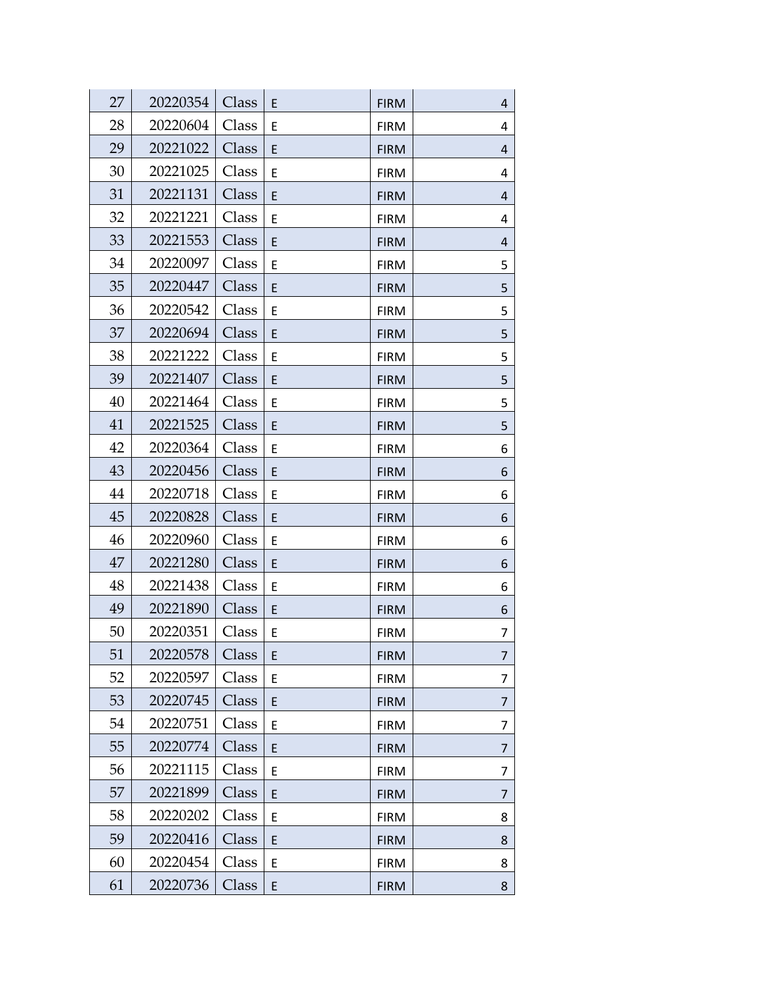| 27 | 20220354 | Class | E | <b>FIRM</b> | 4 |
|----|----------|-------|---|-------------|---|
| 28 | 20220604 | Class | E | <b>FIRM</b> | 4 |
| 29 | 20221022 | Class | E | <b>FIRM</b> | 4 |
| 30 | 20221025 | Class | E | <b>FIRM</b> | 4 |
| 31 | 20221131 | Class | E | <b>FIRM</b> | 4 |
| 32 | 20221221 | Class | E | <b>FIRM</b> | 4 |
| 33 | 20221553 | Class | E | <b>FIRM</b> | 4 |
| 34 | 20220097 | Class | E | <b>FIRM</b> | 5 |
| 35 | 20220447 | Class | E | <b>FIRM</b> | 5 |
| 36 | 20220542 | Class | Ε | <b>FIRM</b> | 5 |
| 37 | 20220694 | Class | E | <b>FIRM</b> | 5 |
| 38 | 20221222 | Class | Ε | <b>FIRM</b> | 5 |
| 39 | 20221407 | Class | E | <b>FIRM</b> | 5 |
| 40 | 20221464 | Class | Ε | <b>FIRM</b> | 5 |
| 41 | 20221525 | Class | E | <b>FIRM</b> | 5 |
| 42 | 20220364 | Class | Ε | <b>FIRM</b> | 6 |
| 43 | 20220456 | Class | E | <b>FIRM</b> | 6 |
| 44 | 20220718 | Class | E | <b>FIRM</b> | 6 |
| 45 | 20220828 | Class | E | <b>FIRM</b> | 6 |
| 46 | 20220960 | Class | E | <b>FIRM</b> | 6 |
| 47 | 20221280 | Class | E | <b>FIRM</b> | 6 |
| 48 | 20221438 | Class | Ε | <b>FIRM</b> | 6 |
| 49 | 20221890 | Class | E | <b>FIRM</b> | 6 |
| 50 | 20220351 | Class | Ε | <b>FIRM</b> | 7 |
| 51 | 20220578 | Class | E | <b>FIRM</b> | 7 |
| 52 | 20220597 | Class | E | <b>FIRM</b> | 7 |
| 53 | 20220745 | Class | E | <b>FIRM</b> | 7 |
| 54 | 20220751 | Class | Ε | <b>FIRM</b> | 7 |
| 55 | 20220774 | Class | E | <b>FIRM</b> | 7 |
| 56 | 20221115 | Class | E | <b>FIRM</b> | 7 |
| 57 | 20221899 | Class | E | <b>FIRM</b> | 7 |
| 58 | 20220202 | Class | E | <b>FIRM</b> | 8 |
| 59 | 20220416 | Class | E | <b>FIRM</b> | 8 |
| 60 | 20220454 | Class | E | <b>FIRM</b> | 8 |
| 61 | 20220736 | Class | E | <b>FIRM</b> | 8 |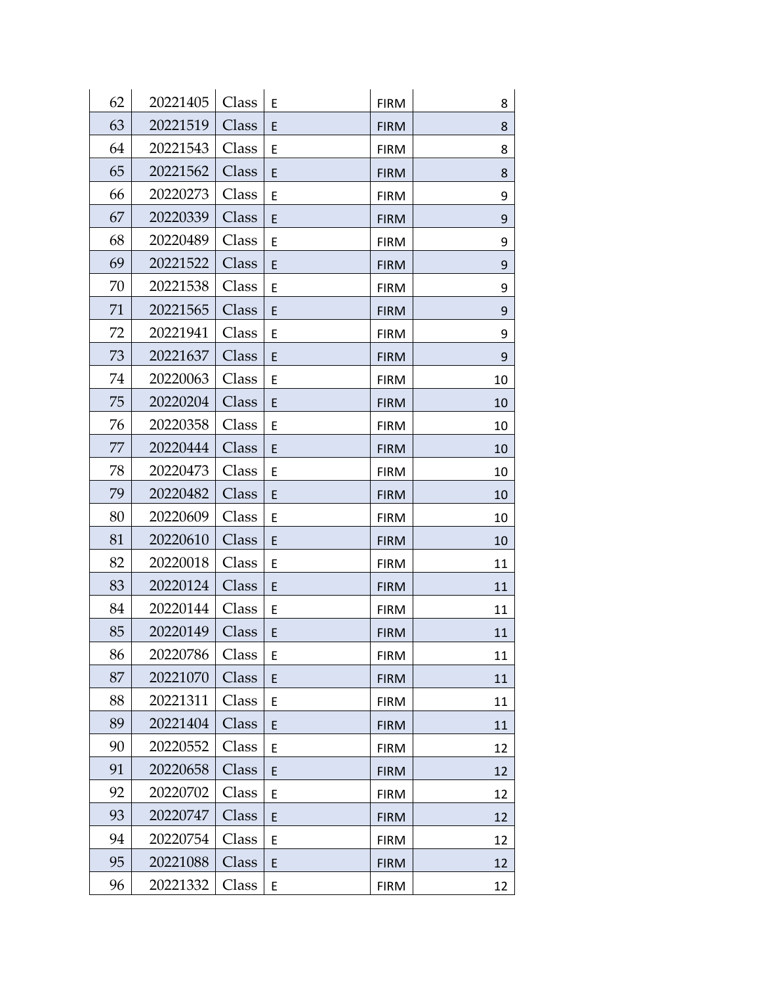| 62 | 20221405 | Class | Ε | <b>FIRM</b> | 8  |
|----|----------|-------|---|-------------|----|
| 63 | 20221519 | Class | E | <b>FIRM</b> | 8  |
| 64 | 20221543 | Class | E | <b>FIRM</b> | 8  |
| 65 | 20221562 | Class | E | <b>FIRM</b> | 8  |
| 66 | 20220273 | Class | E | <b>FIRM</b> | 9  |
| 67 | 20220339 | Class | E | <b>FIRM</b> | 9  |
| 68 | 20220489 | Class | E | <b>FIRM</b> | 9  |
| 69 | 20221522 | Class | E | <b>FIRM</b> | 9  |
| 70 | 20221538 | Class | E | <b>FIRM</b> | 9  |
| 71 | 20221565 | Class | E | <b>FIRM</b> | 9  |
| 72 | 20221941 | Class | E | <b>FIRM</b> | 9  |
| 73 | 20221637 | Class | E | <b>FIRM</b> | 9  |
| 74 | 20220063 | Class | Ε | <b>FIRM</b> | 10 |
| 75 | 20220204 | Class | E | <b>FIRM</b> | 10 |
| 76 | 20220358 | Class | E | <b>FIRM</b> | 10 |
| 77 | 20220444 | Class | E | <b>FIRM</b> | 10 |
| 78 | 20220473 | Class | E | <b>FIRM</b> | 10 |
| 79 | 20220482 | Class | E | <b>FIRM</b> | 10 |
| 80 | 20220609 | Class | E | <b>FIRM</b> | 10 |
| 81 | 20220610 | Class | E | <b>FIRM</b> | 10 |
| 82 | 20220018 | Class | E | <b>FIRM</b> | 11 |
| 83 | 20220124 | Class | E | <b>FIRM</b> | 11 |
| 84 | 20220144 | Class | E | <b>FIRM</b> | 11 |
| 85 | 20220149 | Class | E | <b>FIRM</b> | 11 |
| 86 | 20220786 | Class | Ε | <b>FIRM</b> | 11 |
| 87 | 20221070 | Class | E | <b>FIRM</b> | 11 |
| 88 | 20221311 | Class | E | <b>FIRM</b> | 11 |
| 89 | 20221404 | Class | E | <b>FIRM</b> | 11 |
| 90 | 20220552 | Class | Ε | <b>FIRM</b> | 12 |
| 91 | 20220658 | Class | E | <b>FIRM</b> | 12 |
| 92 | 20220702 | Class | E | <b>FIRM</b> | 12 |
| 93 | 20220747 | Class | E | <b>FIRM</b> | 12 |
| 94 | 20220754 | Class | E | <b>FIRM</b> | 12 |
| 95 | 20221088 | Class | E | <b>FIRM</b> | 12 |
| 96 | 20221332 | Class | E | <b>FIRM</b> | 12 |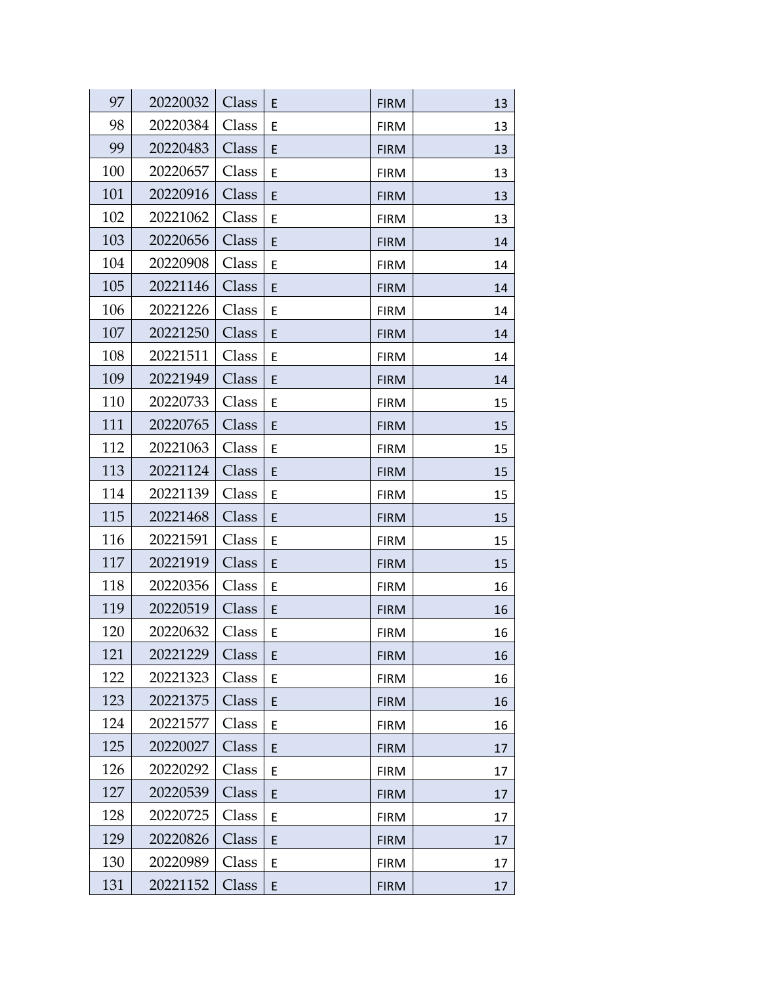| 97  | 20220032 | Class | E | <b>FIRM</b> | 13 |
|-----|----------|-------|---|-------------|----|
| 98  | 20220384 | Class | E | <b>FIRM</b> | 13 |
| 99  | 20220483 | Class | E | <b>FIRM</b> | 13 |
| 100 | 20220657 | Class | E | <b>FIRM</b> | 13 |
| 101 | 20220916 | Class | E | <b>FIRM</b> | 13 |
| 102 | 20221062 | Class | E | <b>FIRM</b> | 13 |
| 103 | 20220656 | Class | E | <b>FIRM</b> | 14 |
| 104 | 20220908 | Class | E | <b>FIRM</b> | 14 |
| 105 | 20221146 | Class | E | <b>FIRM</b> | 14 |
| 106 | 20221226 | Class | E | <b>FIRM</b> | 14 |
| 107 | 20221250 | Class | E | <b>FIRM</b> | 14 |
| 108 | 20221511 | Class | E | <b>FIRM</b> | 14 |
| 109 | 20221949 | Class | E | <b>FIRM</b> | 14 |
| 110 | 20220733 | Class | E | <b>FIRM</b> | 15 |
| 111 | 20220765 | Class | E | <b>FIRM</b> | 15 |
| 112 | 20221063 | Class | E | <b>FIRM</b> | 15 |
| 113 | 20221124 | Class | E | <b>FIRM</b> | 15 |
| 114 | 20221139 | Class | E | <b>FIRM</b> | 15 |
| 115 | 20221468 | Class | E | <b>FIRM</b> | 15 |
| 116 | 20221591 | Class | E | <b>FIRM</b> | 15 |
| 117 | 20221919 | Class | E | <b>FIRM</b> | 15 |
| 118 | 20220356 | Class | E | <b>FIRM</b> | 16 |
| 119 | 20220519 | Class | E | <b>FIRM</b> | 16 |
| 120 | 20220632 | Class | E | <b>FIRM</b> | 16 |
| 121 | 20221229 | Class | E | <b>FIRM</b> | 16 |
| 122 | 20221323 | Class | E | <b>FIRM</b> | 16 |
| 123 | 20221375 | Class | E | <b>FIRM</b> | 16 |
| 124 | 20221577 | Class | E | <b>FIRM</b> | 16 |
| 125 | 20220027 | Class | E | <b>FIRM</b> | 17 |
| 126 | 20220292 | Class | E | <b>FIRM</b> | 17 |
| 127 | 20220539 | Class | E | <b>FIRM</b> | 17 |
| 128 | 20220725 | Class | E | <b>FIRM</b> | 17 |
| 129 | 20220826 | Class | E | <b>FIRM</b> | 17 |
| 130 | 20220989 | Class | E | <b>FIRM</b> | 17 |
| 131 | 20221152 | Class | E | <b>FIRM</b> | 17 |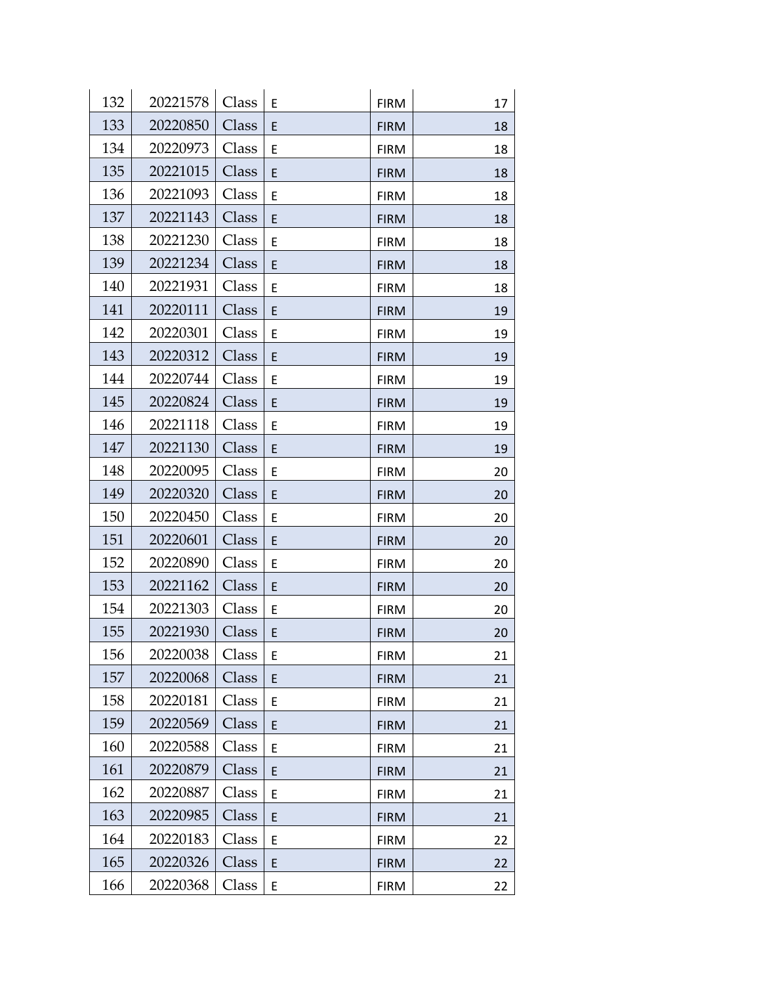| 132 | 20221578 | Class | Ε | <b>FIRM</b> | 17 |
|-----|----------|-------|---|-------------|----|
| 133 | 20220850 | Class | E | <b>FIRM</b> | 18 |
| 134 | 20220973 | Class | E | <b>FIRM</b> | 18 |
| 135 | 20221015 | Class | E | <b>FIRM</b> | 18 |
| 136 | 20221093 | Class | Ε | <b>FIRM</b> | 18 |
| 137 | 20221143 | Class | E | <b>FIRM</b> | 18 |
| 138 | 20221230 | Class | Ε | <b>FIRM</b> | 18 |
| 139 | 20221234 | Class | E | <b>FIRM</b> | 18 |
| 140 | 20221931 | Class | E | <b>FIRM</b> | 18 |
| 141 | 20220111 | Class | E | <b>FIRM</b> | 19 |
| 142 | 20220301 | Class | E | <b>FIRM</b> | 19 |
| 143 | 20220312 | Class | E | <b>FIRM</b> | 19 |
| 144 | 20220744 | Class | E | <b>FIRM</b> | 19 |
| 145 | 20220824 | Class | E | <b>FIRM</b> | 19 |
| 146 | 20221118 | Class | E | <b>FIRM</b> | 19 |
| 147 | 20221130 | Class | E | <b>FIRM</b> | 19 |
| 148 | 20220095 | Class | E | <b>FIRM</b> | 20 |
| 149 | 20220320 | Class | E | <b>FIRM</b> | 20 |
| 150 | 20220450 | Class | E | <b>FIRM</b> | 20 |
| 151 | 20220601 | Class | E | <b>FIRM</b> | 20 |
| 152 | 20220890 | Class | E | <b>FIRM</b> | 20 |
| 153 | 20221162 | Class | E | <b>FIRM</b> | 20 |
| 154 | 20221303 | Class | E | <b>FIRM</b> | 20 |
| 155 | 20221930 | Class | E | <b>FIRM</b> | 20 |
| 156 | 20220038 | Class | Ε | <b>FIRM</b> | 21 |
| 157 | 20220068 | Class | E | <b>FIRM</b> | 21 |
| 158 | 20220181 | Class | E | <b>FIRM</b> | 21 |
| 159 | 20220569 | Class | E | <b>FIRM</b> | 21 |
| 160 | 20220588 | Class | E | <b>FIRM</b> | 21 |
| 161 | 20220879 | Class | E | <b>FIRM</b> | 21 |
| 162 | 20220887 | Class | E | <b>FIRM</b> | 21 |
| 163 | 20220985 | Class | E | <b>FIRM</b> | 21 |
| 164 | 20220183 | Class | E | <b>FIRM</b> | 22 |
| 165 | 20220326 | Class | E | <b>FIRM</b> | 22 |
| 166 | 20220368 | Class | E | <b>FIRM</b> | 22 |